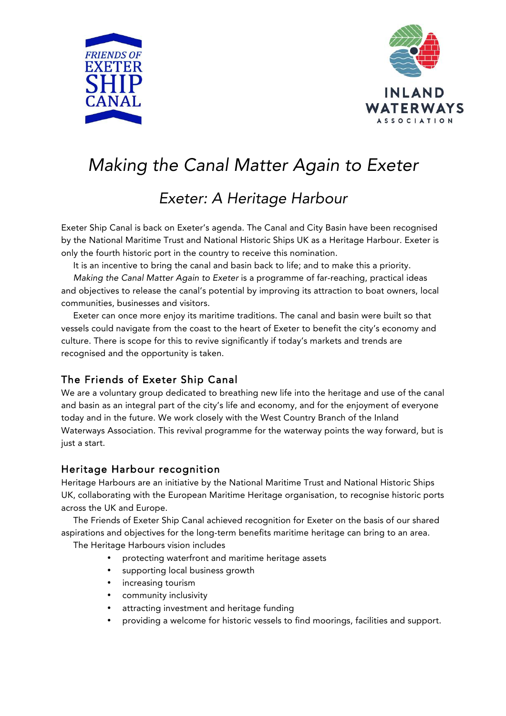



# *Making the Canal Matter Again to Exeter*

## *Exeter: A Heritage Harbour*

Exeter Ship Canal is back on Exeter's agenda. The Canal and City Basin have been recognised by the National Maritime Trust and National Historic Ships UK as a Heritage Harbour. Exeter is only the fourth historic port in the country to receive this nomination.

It is an incentive to bring the canal and basin back to life; and to make this a priority. *Making the Canal Matter Again to Exeter* is a programme of far-reaching, practical ideas and objectives to release the canal's potential by improving its attraction to boat owners, local communities, businesses and visitors.

Exeter can once more enjoy its maritime traditions. The canal and basin were built so that vessels could navigate from the coast to the heart of Exeter to benefit the city's economy and culture. There is scope for this to revive significantly if today's markets and trends are recognised and the opportunity is taken.

## The Friends of Exeter Ship Canal

We are a voluntary group dedicated to breathing new life into the heritage and use of the canal and basin as an integral part of the city's life and economy, and for the enjoyment of everyone today and in the future. We work closely with the West Country Branch of the Inland Waterways Association. This revival programme for the waterway points the way forward, but is just a start.

## Heritage Harbour recognition

Heritage Harbours are an initiative by the National Maritime Trust and National Historic Ships UK, collaborating with the European Maritime Heritage organisation, to recognise historic ports across the UK and Europe.

The Friends of Exeter Ship Canal achieved recognition for Exeter on the basis of our shared aspirations and objectives for the long-term benefits maritime heritage can bring to an area.

The Heritage Harbours vision includes

- protecting waterfront and maritime heritage assets
- supporting local business growth
- increasing tourism
- community inclusivity
- attracting investment and heritage funding
- providing a welcome for historic vessels to find moorings, facilities and support.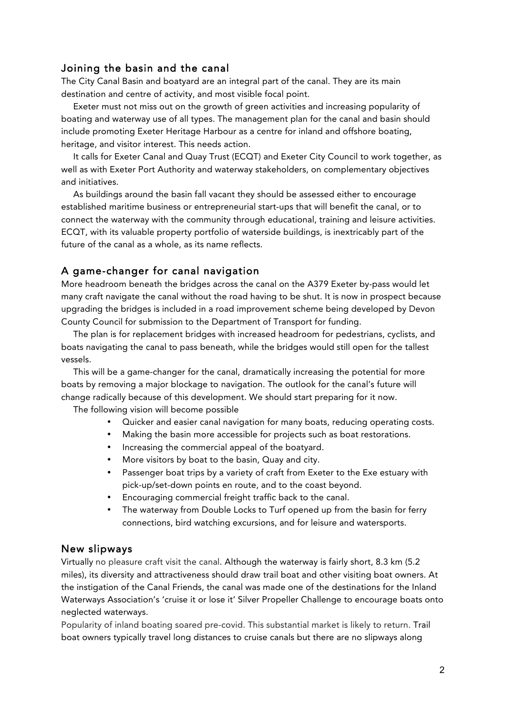#### Joining the basin and the canal

The City Canal Basin and boatyard are an integral part of the canal. They are its main destination and centre of activity, and most visible focal point.

Exeter must not miss out on the growth of green activities and increasing popularity of boating and waterway use of all types. The management plan for the canal and basin should include promoting Exeter Heritage Harbour as a centre for inland and offshore boating, heritage, and visitor interest. This needs action.

It calls for Exeter Canal and Quay Trust (ECQT) and Exeter City Council to work together, as well as with Exeter Port Authority and waterway stakeholders, on complementary objectives and initiatives.

As buildings around the basin fall vacant they should be assessed either to encourage established maritime business or entrepreneurial start-ups that will benefit the canal, or to connect the waterway with the community through educational, training and leisure activities. ECQT, with its valuable property portfolio of waterside buildings, is inextricably part of the future of the canal as a whole, as its name reflects.

#### A game-changer for canal navigation

More headroom beneath the bridges across the canal on the A379 Exeter by-pass would let many craft navigate the canal without the road having to be shut. It is now in prospect because upgrading the bridges is included in a road improvement scheme being developed by Devon County Council for submission to the Department of Transport for funding.

The plan is for replacement bridges with increased headroom for pedestrians, cyclists, and boats navigating the canal to pass beneath, while the bridges would still open for the tallest vessels.

This will be a game-changer for the canal, dramatically increasing the potential for more boats by removing a major blockage to navigation. The outlook for the canal's future will change radically because of this development. We should start preparing for it now.

The following vision will become possible

- Quicker and easier canal navigation for many boats, reducing operating costs.
- Making the basin more accessible for projects such as boat restorations.
- Increasing the commercial appeal of the boatyard.
- More visitors by boat to the basin, Quay and city.
- Passenger boat trips by a variety of craft from Exeter to the Exe estuary with pick-up/set-down points en route, and to the coast beyond.
- Encouraging commercial freight traffic back to the canal.
- The waterway from Double Locks to Turf opened up from the basin for ferry connections, bird watching excursions, and for leisure and watersports.

#### New slipways

Virtually no pleasure craft visit the canal. Although the waterway is fairly short, 8.3 km (5.2 miles), its diversity and attractiveness should draw trail boat and other visiting boat owners. At the instigation of the Canal Friends, the canal was made one of the destinations for the Inland Waterways Association's 'cruise it or lose it' Silver Propeller Challenge to encourage boats onto neglected waterways.

Popularity of inland boating soared pre-covid. This substantial market is likely to return. Trail boat owners typically travel long distances to cruise canals but there are no slipways along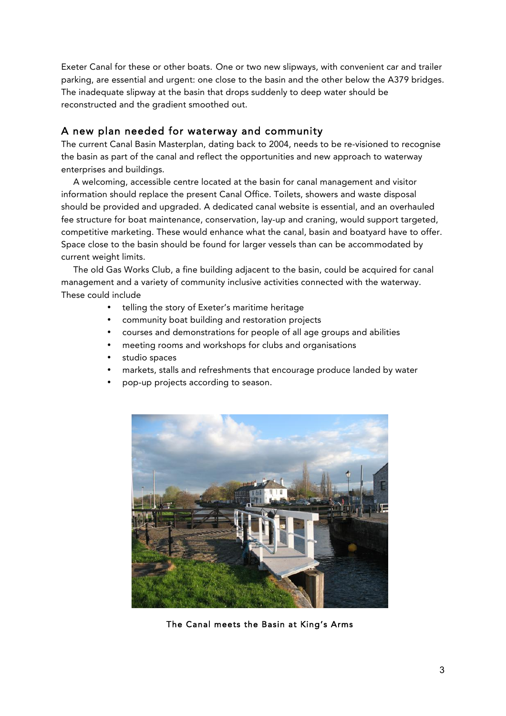Exeter Canal for these or other boats. One or two new slipways, with convenient car and trailer parking, are essential and urgent: one close to the basin and the other below the A379 bridges. The inadequate slipway at the basin that drops suddenly to deep water should be reconstructed and the gradient smoothed out.

#### A new plan needed for waterway and community

The current Canal Basin Masterplan, dating back to 2004, needs to be re-visioned to recognise the basin as part of the canal and reflect the opportunities and new approach to waterway enterprises and buildings.

A welcoming, accessible centre located at the basin for canal management and visitor information should replace the present Canal Office. Toilets, showers and waste disposal should be provided and upgraded. A dedicated canal website is essential, and an overhauled fee structure for boat maintenance, conservation, lay-up and craning, would support targeted, competitive marketing. These would enhance what the canal, basin and boatyard have to offer. Space close to the basin should be found for larger vessels than can be accommodated by current weight limits.

The old Gas Works Club, a fine building adjacent to the basin, could be acquired for canal management and a variety of community inclusive activities connected with the waterway. These could include

- telling the story of Exeter's maritime heritage
- community boat building and restoration projects
- courses and demonstrations for people of all age groups and abilities
- meeting rooms and workshops for clubs and organisations
- studio spaces
- markets, stalls and refreshments that encourage produce landed by water
- pop-up projects according to season.



The Canal meets the Basin at King's Arms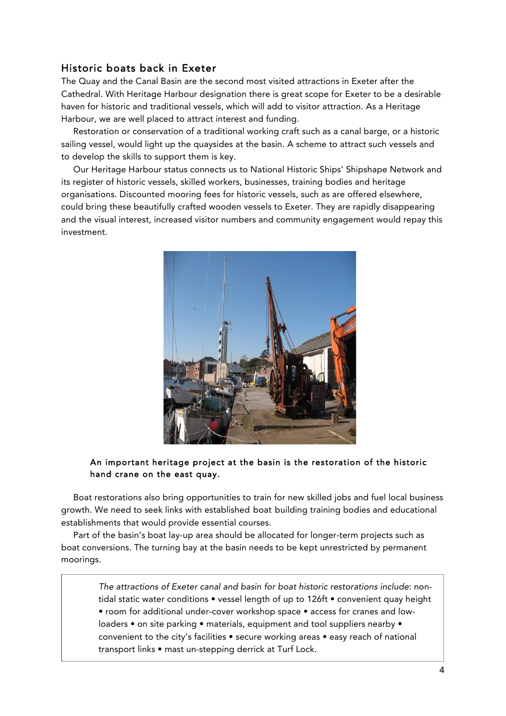#### Historic boats back in Exeter

The Quay and the Canal Basin are the second most visited attractions in Exeter after the Cathedral. With Heritage Harbour designation there is great scope for Exeter to be a desirable haven for historic and traditional vessels, which will add to visitor attraction. As a Heritage Harbour, we are well placed to attract interest and funding.

Restoration or conservation of a traditional working craft such as a canal barge, or a historic sailing vessel, would light up the quaysides at the basin. A scheme to attract such vessels and to develop the skills to support them is key.

Our Heritage Harbour status connects us to National Historic Ships' Shipshape Network and its register of historic vessels, skilled workers, businesses, training bodies and heritage organisations. Discounted mooring fees for historic vessels, such as are offered elsewhere, could bring these beautifully crafted wooden vessels to Exeter. They are rapidly disappearing and the visual interest, increased visitor numbers and community engagement would repay this investment.



#### An important heritage project at the basin is the restoration of the historic hand crane on the east quay.

Boat restorations also bring opportunities to train for new skilled jobs and fuel local business growth. We need to seek links with established boat building training bodies and educational establishments that would provide essential courses.

Part of the basin's boat lay-up area should be allocated for longer-term projects such as boat conversions. The turning bay at the basin needs to be kept unrestricted by permanent moorings.

> *The attractions of Exeter canal and basin for boat historic restorations include*: nontidal static water conditions • vessel length of up to 126ft • convenient quay height • room for additional under-cover workshop space • access for cranes and lowloaders • on site parking • materials, equipment and tool suppliers nearby • convenient to the city's facilities • secure working areas • easy reach of national transport links • mast un-stepping derrick at Turf Lock.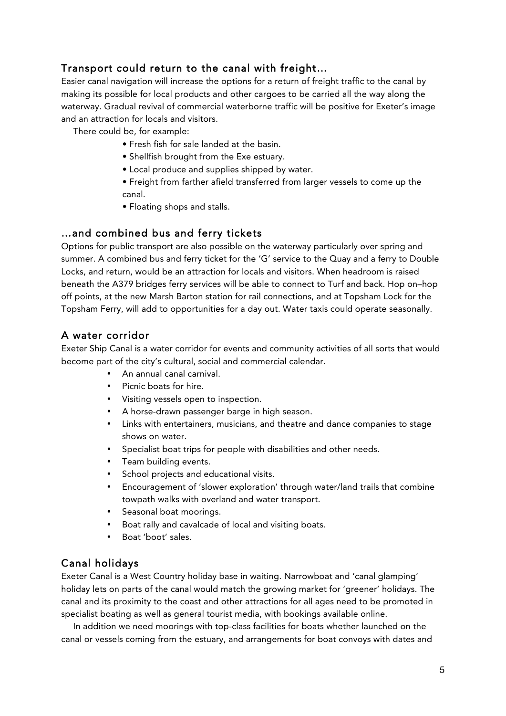## Transport could return to the canal with freight…

Easier canal navigation will increase the options for a return of freight traffic to the canal by making its possible for local products and other cargoes to be carried all the way along the waterway. Gradual revival of commercial waterborne traffic will be positive for Exeter's image and an attraction for locals and visitors.

There could be, for example:

- Fresh fish for sale landed at the basin.
- Shellfish brought from the Exe estuary.
- Local produce and supplies shipped by water.
- Freight from farther afield transferred from larger vessels to come up the canal.
- Floating shops and stalls.

#### …and combined bus and ferry tickets

Options for public transport are also possible on the waterway particularly over spring and summer. A combined bus and ferry ticket for the 'G' service to the Quay and a ferry to Double Locks, and return, would be an attraction for locals and visitors. When headroom is raised beneath the A379 bridges ferry services will be able to connect to Turf and back. Hop on–hop off points, at the new Marsh Barton station for rail connections, and at Topsham Lock for the Topsham Ferry, will add to opportunities for a day out. Water taxis could operate seasonally.

## A water corridor

Exeter Ship Canal is a water corridor for events and community activities of all sorts that would become part of the city's cultural, social and commercial calendar.

- An annual canal carnival.
- Picnic boats for hire.
- Visiting vessels open to inspection.
- A horse-drawn passenger barge in high season.
- Links with entertainers, musicians, and theatre and dance companies to stage shows on water.
- Specialist boat trips for people with disabilities and other needs.
- Team building events.
- School projects and educational visits.
- Encouragement of 'slower exploration' through water/land trails that combine towpath walks with overland and water transport.
- Seasonal boat moorings.
- Boat rally and cavalcade of local and visiting boats.
- Boat 'boot' sales.

#### Canal holidays

Exeter Canal is a West Country holiday base in waiting. Narrowboat and 'canal glamping' holiday lets on parts of the canal would match the growing market for 'greener' holidays. The canal and its proximity to the coast and other attractions for all ages need to be promoted in specialist boating as well as general tourist media, with bookings available online.

In addition we need moorings with top-class facilities for boats whether launched on the canal or vessels coming from the estuary, and arrangements for boat convoys with dates and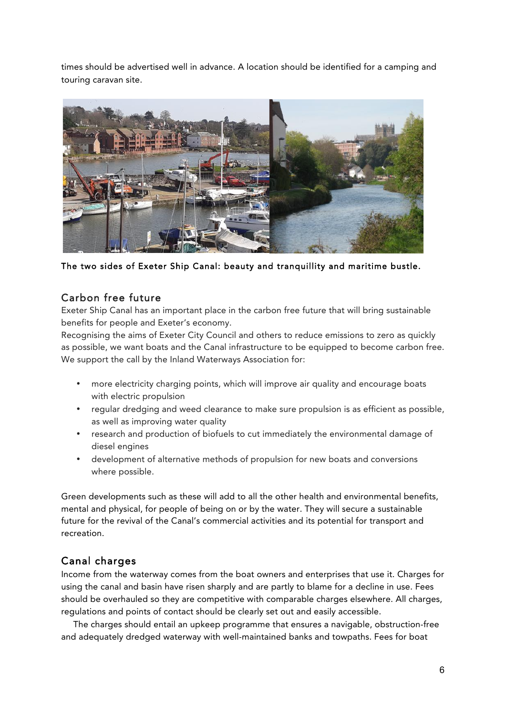times should be advertised well in advance. A location should be identified for a camping and touring caravan site.



The two sides of Exeter Ship Canal: beauty and tranquillity and maritime bustle.

## Carbon free future

Exeter Ship Canal has an important place in the carbon free future that will bring sustainable benefits for people and Exeter's economy.

Recognising the aims of Exeter City Council and others to reduce emissions to zero as quickly as possible, we want boats and the Canal infrastructure to be equipped to become carbon free. We support the call by the Inland Waterways Association for:

- more electricity charging points, which will improve air quality and encourage boats with electric propulsion
- regular dredging and weed clearance to make sure propulsion is as efficient as possible, as well as improving water quality
- research and production of biofuels to cut immediately the environmental damage of diesel engines
- development of alternative methods of propulsion for new boats and conversions where possible.

Green developments such as these will add to all the other health and environmental benefits, mental and physical, for people of being on or by the water. They will secure a sustainable future for the revival of the Canal's commercial activities and its potential for transport and recreation.

#### Canal charges

Income from the waterway comes from the boat owners and enterprises that use it. Charges for using the canal and basin have risen sharply and are partly to blame for a decline in use. Fees should be overhauled so they are competitive with comparable charges elsewhere. All charges, regulations and points of contact should be clearly set out and easily accessible.

The charges should entail an upkeep programme that ensures a navigable, obstruction-free and adequately dredged waterway with well-maintained banks and towpaths. Fees for boat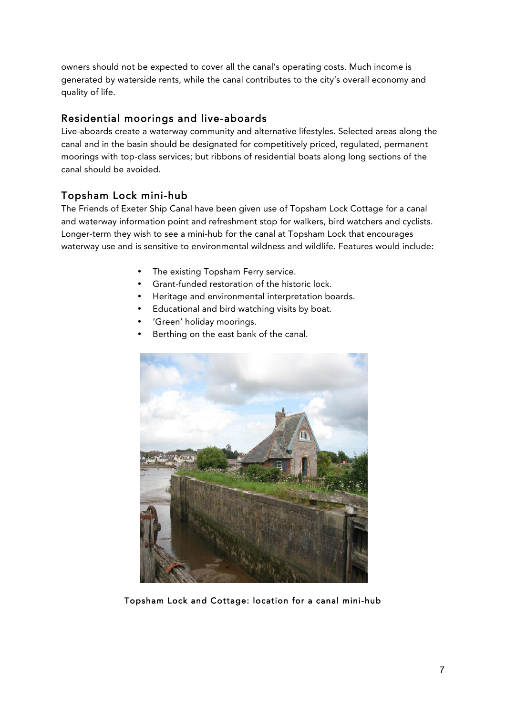owners should not be expected to cover all the canal's operating costs. Much income is generated by waterside rents, while the canal contributes to the city's overall economy and quality of life.

#### Residential moorings and live-aboards

Live-aboards create a waterway community and alternative lifestyles. Selected areas along the canal and in the basin should be designated for competitively priced, regulated, permanent moorings with top-class services; but ribbons of residential boats along long sections of the canal should be avoided.

#### Topsham Lock mini-hub

The Friends of Exeter Ship Canal have been given use of Topsham Lock Cottage for a canal and waterway information point and refreshment stop for walkers, bird watchers and cyclists. Longer-term they wish to see a mini-hub for the canal at Topsham Lock that encourages waterway use and is sensitive to environmental wildness and wildlife. Features would include:

- The existing Topsham Ferry service.
- Grant-funded restoration of the historic lock.
- Heritage and environmental interpretation boards.
- Educational and bird watching visits by boat.
- 'Green' holiday moorings.
- Berthing on the east bank of the canal.



Topsham Lock and Cottage: location for a canal mini-hub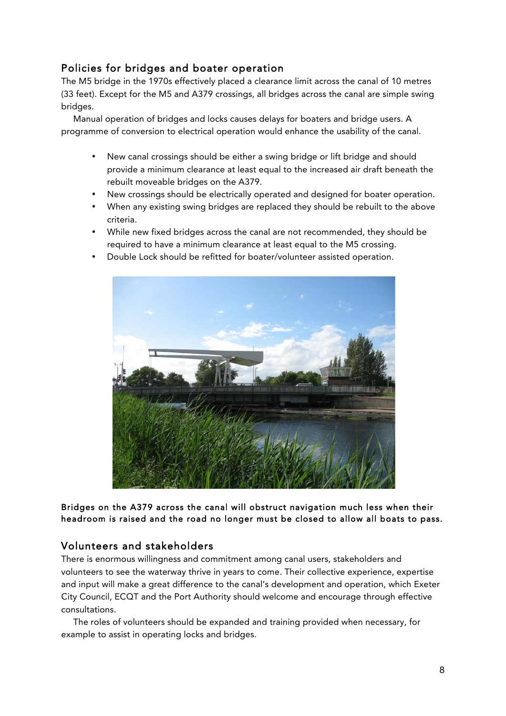#### Policies for bridges and boater operation

The M5 bridge in the 1970s effectively placed a clearance limit across the canal of 10 metres (33 feet). Except for the M5 and A379 crossings, all bridges across the canal are simple swing bridges.

Manual operation of bridges and locks causes delays for boaters and bridge users. A programme of conversion to electrical operation would enhance the usability of the canal.

- New canal crossings should be either a swing bridge or lift bridge and should provide a minimum clearance at least equal to the increased air draft beneath the rebuilt moveable bridges on the A379.
- New crossings should be electrically operated and designed for boater operation.
- When any existing swing bridges are replaced they should be rebuilt to the above criteria.
- While new fixed bridges across the canal are not recommended, they should be required to have a minimum clearance at least equal to the M5 crossing.
- Double Lock should be refitted for boater/volunteer assisted operation.



Bridges on the A379 across the canal will obstruct navigation much less when their headroom is raised and the road no longer must be closed to allow all boats to pass.

#### Volunteers and stakeholders

There is enormous willingness and commitment among canal users, stakeholders and volunteers to see the waterway thrive in years to come. Their collective experience, expertise and input will make a great difference to the canal's development and operation, which Exeter City Council, ECQT and the Port Authority should welcome and encourage through effective consultations.

The roles of volunteers should be expanded and training provided when necessary, for example to assist in operating locks and bridges.